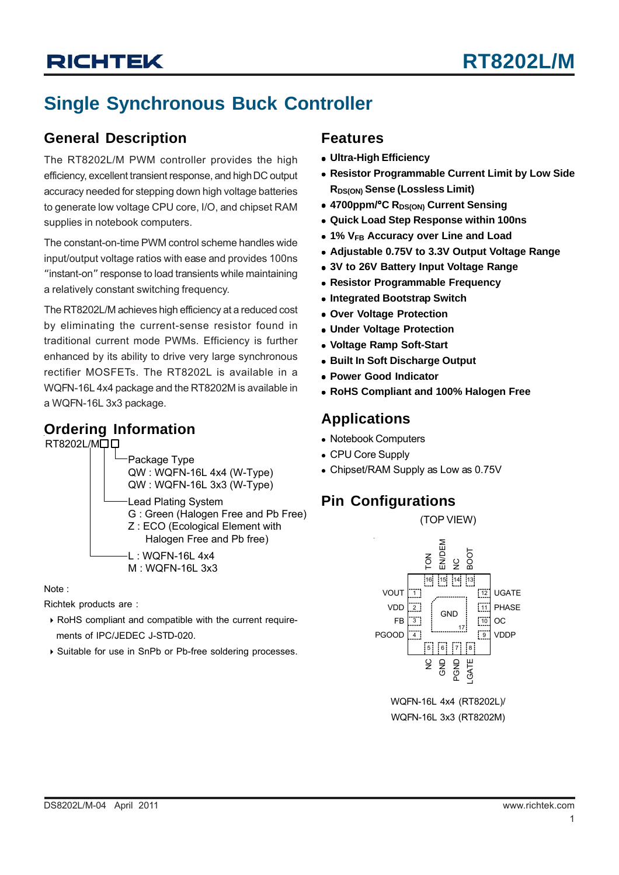# **Single Synchronous Buck Controller**

## **General Description**

The RT8202L/M PWM controller provides the high efficiency, excellent transient response, and high DC output accuracy needed for stepping down high voltage batteries to generate low voltage CPU core, I/O, and chipset RAM supplies in notebook computers.

The constant-on-time PWM control scheme handles wide input/output voltage ratios with ease and provides 100ns "instant-on" response to load transients while maintaining a relatively constant switching frequency.

The RT8202L/M achieves high efficiency at a reduced cost by eliminating the current-sense resistor found in traditional current mode PWMs. Efficiency is further enhanced by its ability to drive very large synchronous rectifier MOSFETs. The RT8202L is available in a WQFN-16L 4x4 package and the RT8202M is available in a WQFN-16L 3x3 package.

## **Ordering Information**

RT8202L/MQQ



Note :

Richtek products are :

- ` RoHS compliant and compatible with the current require ments of IPC/JEDEC J-STD-020.
- ` Suitable for use in SnPb or Pb-free soldering processes.

## **Features**

- **Ultra-High Efficiency**
- **Resistor Programmable Current Limit by Low Side RDS(ON) Sense (Lossless Limit)**
- 4700ppm/<sup>o</sup>C R<sub>DS(ON)</sub> Current Sensing
- <sup>z</sup> **Quick Load Step Response within 100ns**
- <sup>z</sup> **1% VFB Accuracy over Line and Load**
- Adjustable 0.75V to 3.3V Output Voltage Range
- **3V to 26V Battery Input Voltage Range**
- **Resistor Programmable Frequency**
- **Integrated Bootstrap Switch**
- <sup>z</sup> **Over Voltage Protection**
- **Under Voltage Protection**
- <sup>z</sup> **Voltage Ramp Soft-Start**
- **Built In Soft Discharge Output**
- **Power Good Indicator**
- <sup>z</sup> **RoHS Compliant and 100% Halogen Free**

## **Applications**

- Notebook Computers
- CPU Core Supply
- Chipset/RAM Supply as Low as 0.75V

## **Pin Configurations**



(TOP VIEW)

WQFN-16L 4x4 (RT8202L)/ WQFN-16L 3x3 (RT8202M)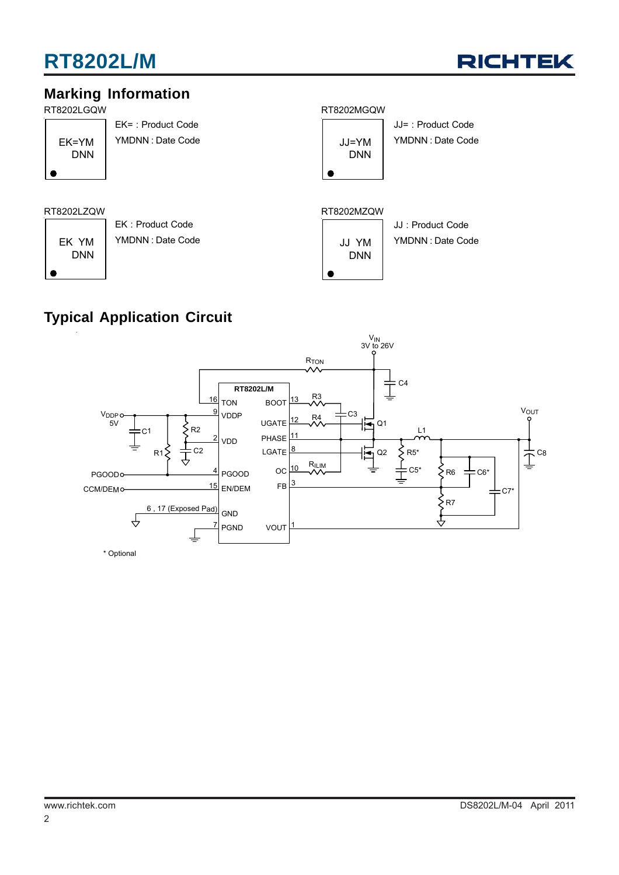# **RT8202L/M**



# **Marking Information**



DNN

EK= : Product Code YMDNN : Date Code

EK : Product Code

### RT8202LGQW RT8202MGQW



JJ= : Product Code YMDNN : Date Code

#### RT8202LZQW RT8202MZQW



# **Typical Application Circuit**

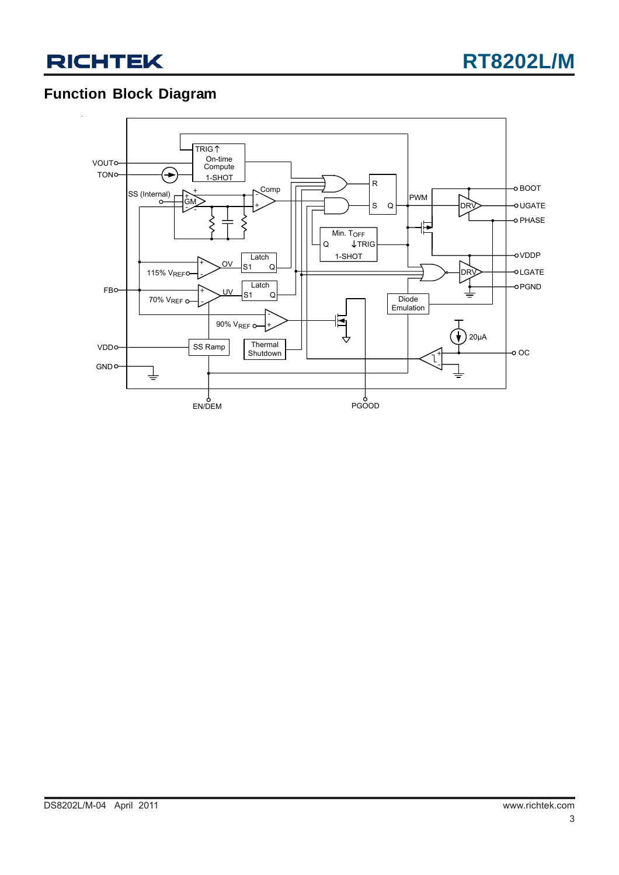



# **Function Block Diagram**

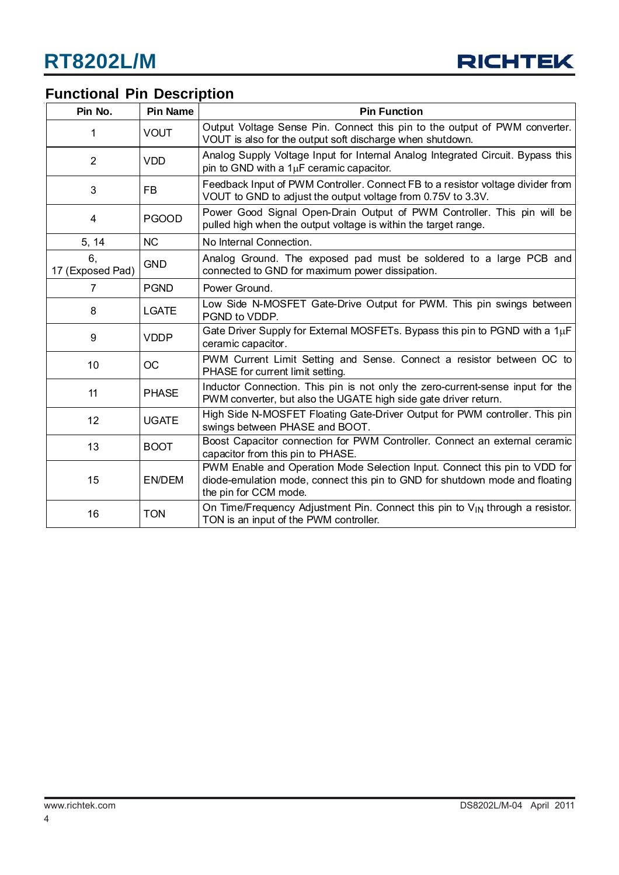

# **Functional Pin Description**

| Pin No.                | <b>Pin Name</b> | <b>Pin Function</b>                                                                                                                                                                 |  |  |
|------------------------|-----------------|-------------------------------------------------------------------------------------------------------------------------------------------------------------------------------------|--|--|
|                        | <b>VOUT</b>     | Output Voltage Sense Pin. Connect this pin to the output of PWM converter.<br>VOUT is also for the output soft discharge when shutdown.                                             |  |  |
| 2                      | <b>VDD</b>      | Analog Supply Voltage Input for Internal Analog Integrated Circuit. Bypass this<br>pin to GND with a $1\mu$ F ceramic capacitor.                                                    |  |  |
| 3                      | <b>FB</b>       | Feedback Input of PWM Controller. Connect FB to a resistor voltage divider from<br>VOUT to GND to adjust the output voltage from 0.75V to 3.3V.                                     |  |  |
| 4                      | <b>PGOOD</b>    | Power Good Signal Open-Drain Output of PWM Controller. This pin will be<br>pulled high when the output voltage is within the target range.                                          |  |  |
| 5, 14                  | <b>NC</b>       | No Internal Connection.                                                                                                                                                             |  |  |
| 6.<br>17 (Exposed Pad) | <b>GND</b>      | Analog Ground. The exposed pad must be soldered to a large PCB and<br>connected to GND for maximum power dissipation.                                                               |  |  |
| $\overline{7}$         | <b>PGND</b>     | Power Ground.                                                                                                                                                                       |  |  |
| 8                      | <b>LGATE</b>    | Low Side N-MOSFET Gate-Drive Output for PWM. This pin swings between<br>PGND to VDDP.                                                                                               |  |  |
| 9                      | <b>VDDP</b>     | Gate Driver Supply for External MOSFETs. Bypass this pin to PGND with a $1\mu$ F<br>ceramic capacitor.                                                                              |  |  |
| 10                     | <b>OC</b>       | PWM Current Limit Setting and Sense. Connect a resistor between OC to<br>PHASE for current limit setting.                                                                           |  |  |
| 11                     | <b>PHASE</b>    | Inductor Connection. This pin is not only the zero-current-sense input for the<br>PWM converter, but also the UGATE high side gate driver return.                                   |  |  |
| 12                     | <b>UGATE</b>    | High Side N-MOSFET Floating Gate-Driver Output for PWM controller. This pin<br>swings between PHASE and BOOT.                                                                       |  |  |
| 13                     | <b>BOOT</b>     | Boost Capacitor connection for PWM Controller. Connect an external ceramic<br>capacitor from this pin to PHASE.                                                                     |  |  |
| 15                     | <b>EN/DEM</b>   | PWM Enable and Operation Mode Selection Input. Connect this pin to VDD for<br>diode-emulation mode, connect this pin to GND for shutdown mode and floating<br>the pin for CCM mode. |  |  |
| 16                     | <b>TON</b>      | On Time/Frequency Adjustment Pin. Connect this pin to V <sub>IN</sub> through a resistor.<br>TON is an input of the PWM controller.                                                 |  |  |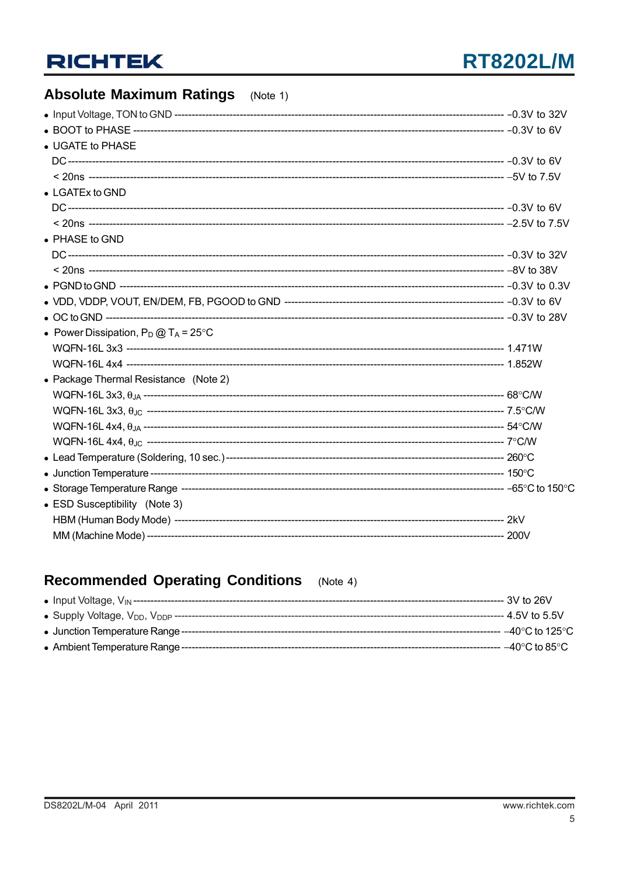# **Absolute Maximum Ratings** (Note 1)

| • UGATE to PHASE                               |  |
|------------------------------------------------|--|
|                                                |  |
|                                                |  |
| $\bullet$ LGATEx to GND                        |  |
|                                                |  |
|                                                |  |
| • PHASE to GND                                 |  |
|                                                |  |
|                                                |  |
|                                                |  |
|                                                |  |
|                                                |  |
| • Power Dissipation, $P_D @ T_A = 25^{\circ}C$ |  |
|                                                |  |
|                                                |  |
| • Package Thermal Resistance (Note 2)          |  |
|                                                |  |
|                                                |  |
|                                                |  |
|                                                |  |
|                                                |  |
|                                                |  |
|                                                |  |
| • ESD Susceptibility (Note 3)                  |  |
|                                                |  |
|                                                |  |
|                                                |  |

#### **Recommended Operating Conditions**  $(Note 4)$

|                                      | --- 3V to 26V                      |
|--------------------------------------|------------------------------------|
|                                      | -- 4.5V to 5.5V                    |
| • Junction Temperature Range ------- | - –40°C to 125°C                   |
| • Ambient Temperature Range -----    | $-40^{\circ}$ C to 85 $^{\circ}$ C |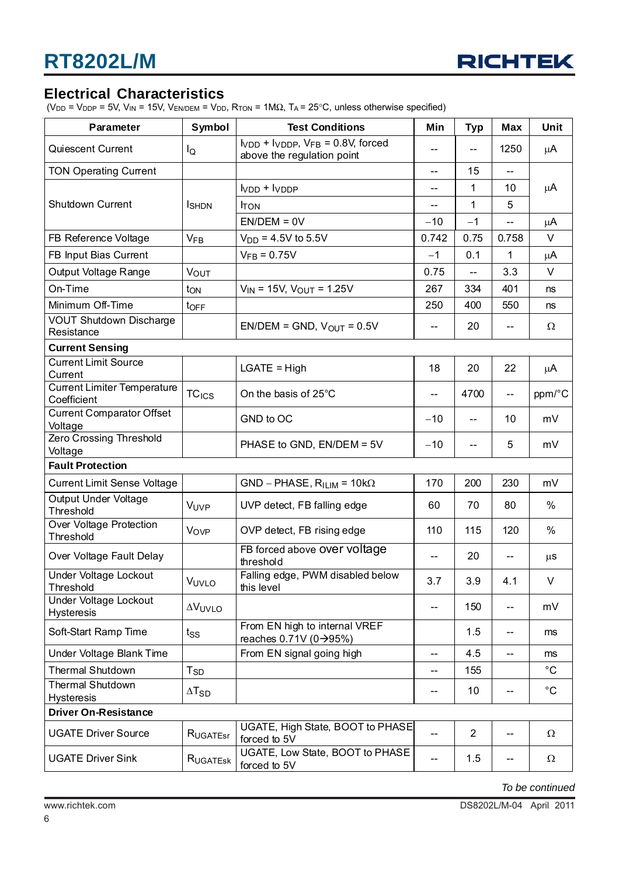

## **Electrical Characteristics**

(V<sub>DD</sub> = V<sub>DDP</sub> = 5V, V<sub>IN</sub> = 15V, V<sub>EN/DEM</sub> = V<sub>DD</sub>, R<sub>TON</sub> = 1M $\Omega$ , T<sub>A</sub> = 25°C, unless otherwise specified)

| Parameter                                         | Symbol                   | <b>Test Conditions</b>                                                         | Min                      | <b>Typ</b>               | <b>Max</b>               | Unit         |  |
|---------------------------------------------------|--------------------------|--------------------------------------------------------------------------------|--------------------------|--------------------------|--------------------------|--------------|--|
| Quiescent Current                                 | l <sub>Q</sub>           | $V_{VDD}$ + $V_{VDDP}$ , $V_{FB}$ = 0.8V, forced<br>above the regulation point |                          |                          | 1250                     | μA           |  |
| <b>TON Operating Current</b>                      |                          |                                                                                | $-$                      | 15                       | $\overline{\phantom{a}}$ |              |  |
|                                                   |                          | $VDD + VDDP$                                                                   | $-$                      | 1                        | 10                       | $\mu A$      |  |
| <b>Shutdown Current</b>                           | <b>I</b> SHDN            | <b>TON</b>                                                                     | --                       | 1                        | 5                        |              |  |
|                                                   |                          | $EN/DEM = 0V$                                                                  | $-10$                    | $-1$                     |                          | μA           |  |
| FB Reference Voltage                              | $V_{FB}$                 | $V_{DD} = 4.5V$ to 5.5V                                                        | 0.742                    | 0.75                     | 0.758                    | V            |  |
| FB Input Bias Current                             |                          | $V_{FB} = 0.75V$                                                               | $-1$                     | 0.1                      | 1                        | μA           |  |
| Output Voltage Range                              | <b>VOUT</b>              |                                                                                | 0.75                     | $-$                      | 3.3                      | $\vee$       |  |
| On-Time                                           | ton                      | $V_{IN}$ = 15V, $V_{OUT}$ = 1.25V                                              | 267                      | 334                      | 401                      | ns           |  |
| Minimum Off-Time                                  | $t_{\text{OFF}}$         |                                                                                | 250                      | 400                      | 550                      | ns           |  |
| <b>VOUT Shutdown Discharge</b><br>Resistance      |                          | $EN/DEM = GND$ , $V_{OUT} = 0.5V$                                              | $- -$                    | 20                       | --                       | Ω            |  |
| <b>Current Sensing</b>                            |                          |                                                                                |                          |                          |                          |              |  |
| <b>Current Limit Source</b><br>Current            |                          | $LGATE = High$                                                                 | 18                       | 20                       | 22                       | μA           |  |
| <b>Current Limiter Temperature</b><br>Coefficient | <b>TC<sub>ICS</sub></b>  | On the basis of 25°C                                                           | --                       | 4700                     | --                       | ppm/°C       |  |
| <b>Current Comparator Offset</b><br>Voltage       |                          | GND to OC                                                                      | $-10$                    | $\overline{\phantom{a}}$ | 10                       | mV           |  |
| <b>Zero Crossing Threshold</b><br>Voltage         |                          | PHASE to GND, EN/DEM = 5V                                                      | $-10$                    | $\overline{\phantom{a}}$ | 5                        | mV           |  |
| <b>Fault Protection</b>                           |                          |                                                                                |                          |                          |                          |              |  |
| <b>Current Limit Sense Voltage</b>                |                          | $GND - PHASE, RILIM = 10k\Omega$                                               | 170                      | 200                      | 230                      | mV           |  |
| Output Under Voltage<br>Threshold                 | VUVP                     | UVP detect, FB falling edge                                                    | 60                       | 70                       | 80                       | $\%$         |  |
| Over Voltage Protection<br>Threshold              | <b>Vov<sub>P</sub></b>   | OVP detect, FB rising edge                                                     | 110                      | 115                      | 120                      | %            |  |
| Over Voltage Fault Delay                          |                          | FB forced above over voltage<br>threshold                                      | $\overline{\phantom{a}}$ | 20                       | --                       | $\mu$ S      |  |
| Under Voltage Lockout<br>Threshold                | VUVLO                    | Falling edge, PWM disabled below<br>this level                                 | 3.7                      | 3.9                      | 4.1                      | V            |  |
| Under Voltage Lockout<br><b>Hysteresis</b>        | <b>AVUVLO</b>            |                                                                                | --                       | 150                      | $-$                      | mV           |  |
| Soft-Start Ramp Time                              | tss                      | From EN high to internal VREF<br>reaches 0.71V (0→95%)                         |                          | 1.5                      | --                       | ms           |  |
| Under Voltage Blank Time                          |                          | From EN signal going high                                                      | --                       | 4.5                      | $-$                      | ms           |  |
| Thermal Shutdown                                  | <b>T<sub>SD</sub></b>    |                                                                                |                          | 155                      |                          | $^{\circ}$ C |  |
| <b>Thermal Shutdown</b><br><b>Hysteresis</b>      | $\Delta$ T <sub>SD</sub> |                                                                                | --                       | 10                       | $-$                      | $^{\circ}$ C |  |
| <b>Driver On-Resistance</b>                       |                          |                                                                                |                          |                          |                          |              |  |
| <b>UGATE Driver Source</b>                        | RUGATEST                 | UGATE, High State, BOOT to PHASE<br>forced to 5V                               | $-$                      | $\overline{2}$           | --                       | Ω            |  |
| <b>UGATE Driver Sink</b>                          | RUGATESK                 | UGATE, Low State, BOOT to PHASE<br>forced to 5V                                | --                       | 1.5                      | --                       | Ω            |  |

*To be continued*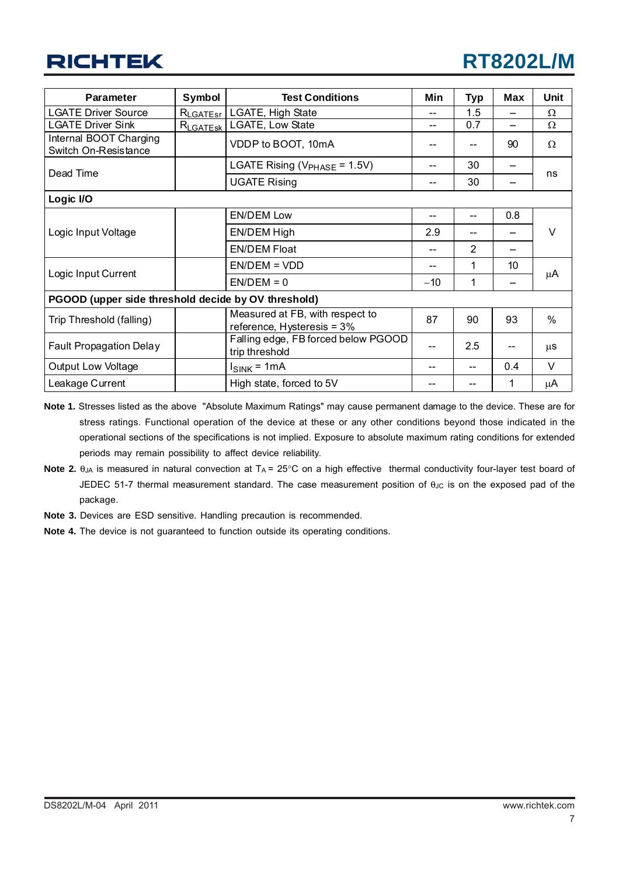| Parameter                                           | Symbol<br><b>Test Conditions</b>          |                                                               | Min   | <b>Typ</b> | <b>Max</b> | <b>Unit</b> |  |
|-----------------------------------------------------|-------------------------------------------|---------------------------------------------------------------|-------|------------|------------|-------------|--|
| <b>LGATE Driver Source</b>                          | LGATE, High State<br>$R_{\text{LGATEST}}$ |                                                               | --    | 1.5        |            | Ω           |  |
| <b>LGATE Driver Sink</b>                            | $R_{\text{LGATESK}}$                      | LGATE, Low State                                              | --    | 0.7        |            | $\Omega$    |  |
| Internal BOOT Charging<br>Switch On-Resistance      |                                           | VDDP to BOOT, 10mA                                            |       |            | 90         | $\Omega$    |  |
| Dead Time                                           |                                           | LGATE Rising ( $V_{PHASE}$ = 1.5V)                            |       | 30         |            | ns          |  |
|                                                     |                                           | <b>UGATE Rising</b>                                           |       | 30         |            |             |  |
| Logic I/O                                           |                                           |                                                               |       |            |            |             |  |
|                                                     |                                           | <b>EN/DEM Low</b>                                             |       | --         | 0.8        |             |  |
| Logic Input Voltage                                 |                                           | EN/DEM High                                                   | 2.9   |            |            | $\vee$      |  |
|                                                     |                                           | <b>EN/DEM Float</b>                                           |       | 2          |            |             |  |
|                                                     |                                           | $EN/DEM = VDD$                                                |       | 1          | 10         | μA          |  |
| Logic Input Current                                 |                                           | $EN/DEM = 0$                                                  | $-10$ | 1          |            |             |  |
| PGOOD (upper side threshold decide by OV threshold) |                                           |                                                               |       |            |            |             |  |
| Trip Threshold (falling)                            |                                           | Measured at FB, with respect to<br>reference, Hysteresis = 3% | 87    | 90         | 93         | %           |  |
| <b>Fault Propagation Delay</b>                      |                                           | Falling edge, FB forced below PGOOD<br>trip threshold         |       | 2.5        |            | μS          |  |
| Output Low Voltage                                  |                                           | $I_{\text{SINK}}$ = 1mA                                       |       |            | 0.4        | $\vee$      |  |
| Leakage Current                                     |                                           | High state, forced to 5V                                      |       |            | 1          | μA          |  |

**Note 1.** Stresses listed as the above "Absolute Maximum Ratings" may cause permanent damage to the device. These are for stress ratings. Functional operation of the device at these or any other conditions beyond those indicated in the operational sections of the specifications is not implied. Exposure to absolute maximum rating conditions for extended periods may remain possibility to affect device reliability.

- Note 2.  $θ<sub>JA</sub>$  is measured in natural convection at T<sub>A</sub> = 25°C on a high effective thermal conductivity four-layer test board of JEDEC 51-7 thermal measurement standard. The case measurement position of θ<sub>JC</sub> is on the exposed pad of the package.
- **Note 3.** Devices are ESD sensitive. Handling precaution is recommended.
- **Note 4.** The device is not guaranteed to function outside its operating conditions.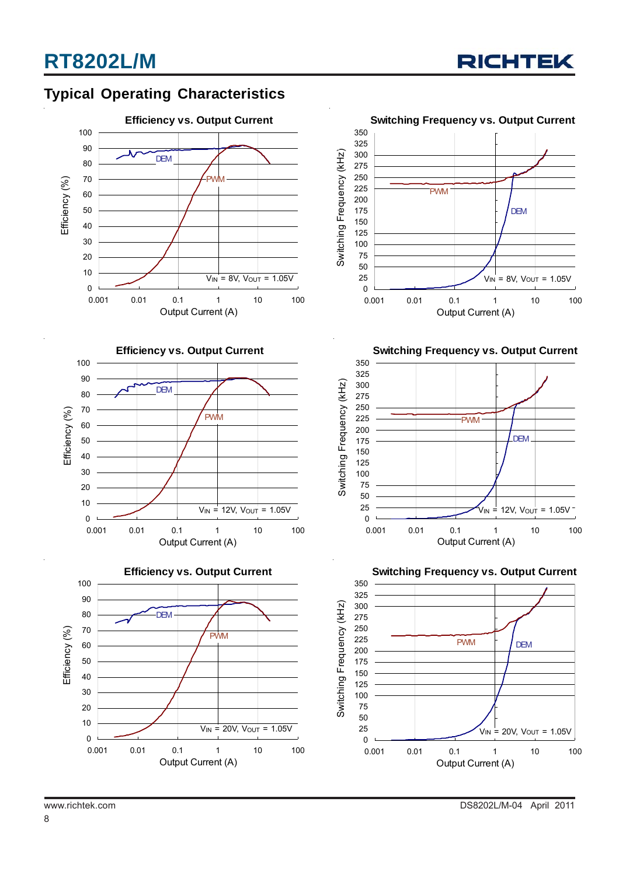

# **Typical Operating Characteristics**



**Efficiency vs. Output Current**







**Switching Frequency vs. Output Current**



**Switching Frequency vs. Output Current**



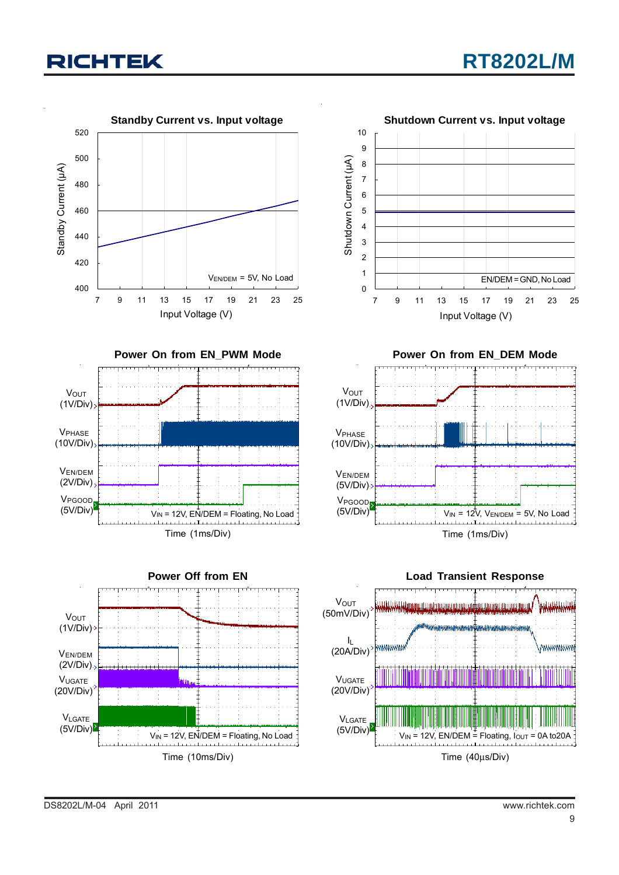





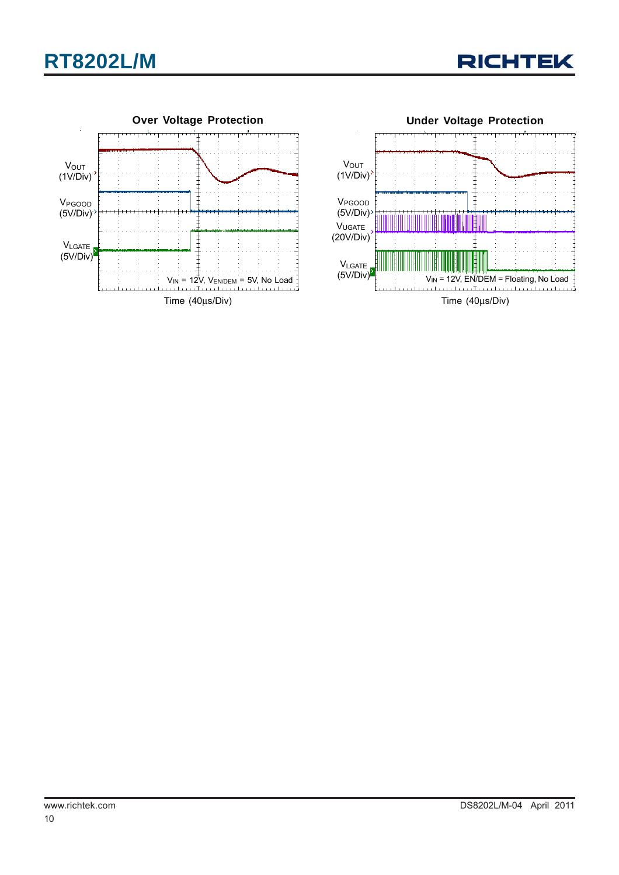





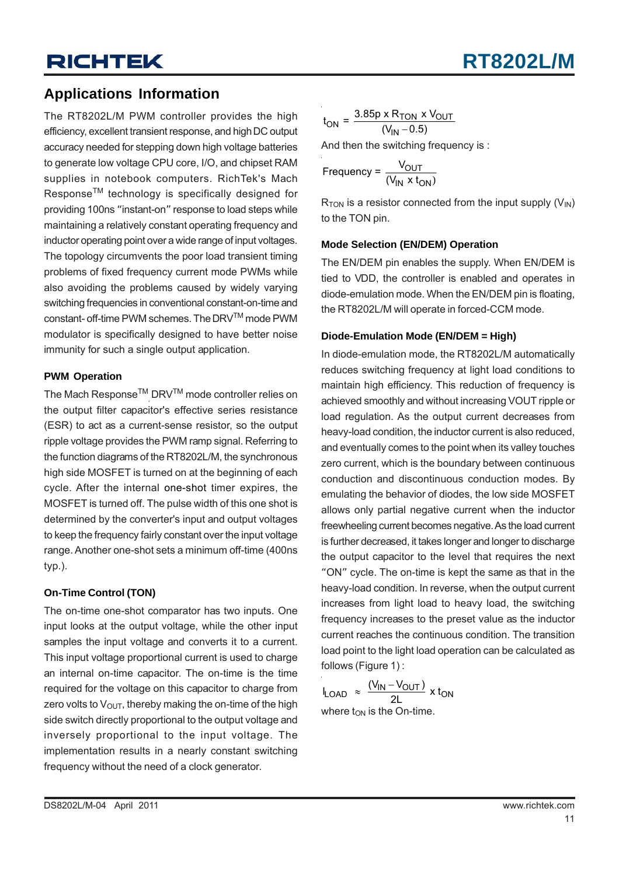## **Applications Information**

The RT8202L/M PWM controller provides the high efficiency, excellent transient response, and high DC output accuracy needed for stepping down high voltage batteries to generate low voltage CPU core, I/O, and chipset RAM supplies in notebook computers. RichTek's Mach Response<sup>™</sup> technology is specifically designed for providing 100ns "instant-on" response to load steps while maintaining a relatively constant operating frequency and inductor operating point over a wide range of input voltages. The topology circumvents the poor load transient timing problems of fixed frequency current mode PWMs while also avoiding the problems caused by widely varying switching frequencies in conventional constant-on-time and constant- off-time PWM schemes. The DRVTM mode PWM modulator is specifically designed to have better noise immunity for such a single output application.

#### **PWM Operation**

The Mach Response $^{\text{\tiny{\textsf{TM}}}}$  DRV $^{\text{\tiny{\textsf{TM}}}}$  mode controller relies on the output filter capacitor's effective series resistance (ESR) to act as a current-sense resistor, so the output ripple voltage provides the PWM ramp signal. Referring to the function diagrams of the RT8202L/M, the synchronous high side MOSFET is turned on at the beginning of each cycle. After the internal one-shot timer expires, the MOSFET is turned off. The pulse width of this one shot is determined by the converter's input and output voltages to keep the frequency fairly constant over the input voltage range. Another one-shot sets a minimum off-time (400ns typ.).

### **On-Time Control (TON)**

The on-time one-shot comparator has two inputs. One input looks at the output voltage, while the other input samples the input voltage and converts it to a current. This input voltage proportional current is used to charge an internal on-time capacitor. The on-time is the time required for the voltage on this capacitor to charge from zero volts to  $V_{\text{OUT}}$ , thereby making the on-time of the high side switch directly proportional to the output voltage and inversely proportional to the input voltage. The implementation results in a nearly constant switching frequency without the need of a clock generator.

$$
t_{\rm ON} = \frac{3.85 \text{p} \times \text{R}_{\rm TON} \times \text{V}_{\rm OUT}}{(\text{V}_{\rm IN} - 0.5)}
$$

And then the switching frequency is :

Frequency = 
$$
\frac{V_{OUT}}{(V_{IN} \times t_{ON})}
$$

 $R_{TON}$  is a resistor connected from the input supply  $(V_{IN})$ to the TON pin.

#### **Mode Selection (EN/DEM) Operation**

The EN/DEM pin enables the supply. When EN/DEM is tied to VDD, the controller is enabled and operates in diode-emulation mode. When the EN/DEM pin is floating, the RT8202L/M will operate in forced-CCM mode.

#### **Diode-Emulation Mode (EN/DEM = High)**

In diode-emulation mode, the RT8202L/M automatically reduces switching frequency at light load conditions to maintain high efficiency. This reduction of frequency is achieved smoothly and without increasing VOUT ripple or load regulation. As the output current decreases from heavy-load condition, the inductor current is also reduced, and eventually comes to the point when its valley touches zero current, which is the boundary between continuous conduction and discontinuous conduction modes. By emulating the behavior of diodes, the low side MOSFET allows only partial negative current when the inductor freewheeling current becomes negative. As the load current is further decreased, it takes longer and longer to discharge the output capacitor to the level that requires the next "ON" cycle. The on-time is kept the same as that in the heavy-load condition. In reverse, when the output current increases from light load to heavy load, the switching frequency increases to the preset value as the inductor current reaches the continuous condition. The transition load point to the light load operation can be calculated as follows (Figure 1):

$$
I_{\text{LOAD}} \approx \frac{(V_{\text{IN}} - V_{\text{OUT}})}{2L} \times t_{\text{ON}}
$$
  
where  $t_{\text{ON}}$  is the On-time.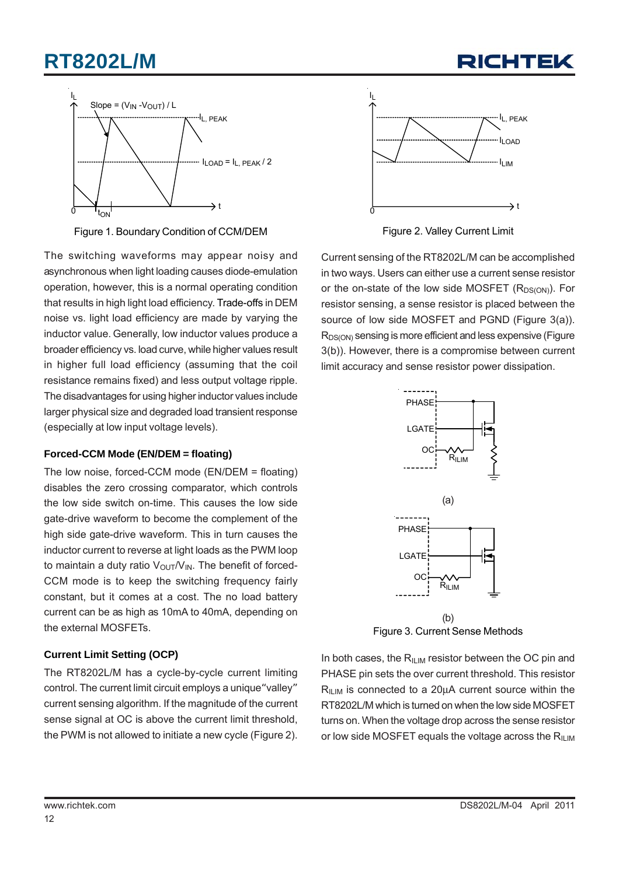# **RT8202L/M**





Figure 1. Boundary Condition of CCM/DEM

The switching waveforms may appear noisy and asynchronous when light loading causes diode-emulation operation, however, this is a normal operating condition that results in high light load efficiency. Trade-offs in DEM noise vs. light load efficiency are made by varying the inductor value. Generally, low inductor values produce a broader efficiency vs. load curve, while higher values result in higher full load efficiency (assuming that the coil resistance remains fixed) and less output voltage ripple. The disadvantages for using higher inductor values include larger physical size and degraded load transient response (especially at low input voltage levels).

### **Forced-CCM Mode (EN/DEM = floating)**

The low noise, forced-CCM mode (EN/DEM = floating) disables the zero crossing comparator, which controls the low side switch on-time. This causes the low side gate-drive waveform to become the complement of the high side gate-drive waveform. This in turn causes the inductor current to reverse at light loads as the PWM loop to maintain a duty ratio  $V_{\text{OUT}}/V_{\text{IN}}$ . The benefit of forced-CCM mode is to keep the switching frequency fairly constant, but it comes at a cost. The no load battery current can be as high as 10mA to 40mA, depending on the external MOSFETs.

### **Current Limit Setting (OCP)**

The RT8202L/M has a cycle-by-cycle current limiting control. The current limit circuit employs a unique"valley" current sensing algorithm. If the magnitude of the current sense signal at OC is above the current limit threshold, the PWM is not allowed to initiate a new cycle (Figure 2).



Figure 2. Valley Current Limit

Current sensing of the RT8202L/M can be accomplished in two ways. Users can either use a current sense resistor or the on-state of the low side MOSFET  $(R_{DS(ON)})$ . For resistor sensing, a sense resistor is placed between the source of low side MOSFET and PGND (Figure 3(a)). R<sub>DS(ON)</sub> sensing is more efficient and less expensive (Figure 3(b)). However, there is a compromise between current limit accuracy and sense resistor power dissipation.



Figure 3. Current Sense Methods

In both cases, the  $R_{ILM}$  resistor between the OC pin and PHASE pin sets the over current threshold. This resistor RILIM is connected to a 20μA current source within the RT8202L/M which is turned on when the low side MOSFET turns on. When the voltage drop across the sense resistor or low side MOSFET equals the voltage across the  $R_{ILM}$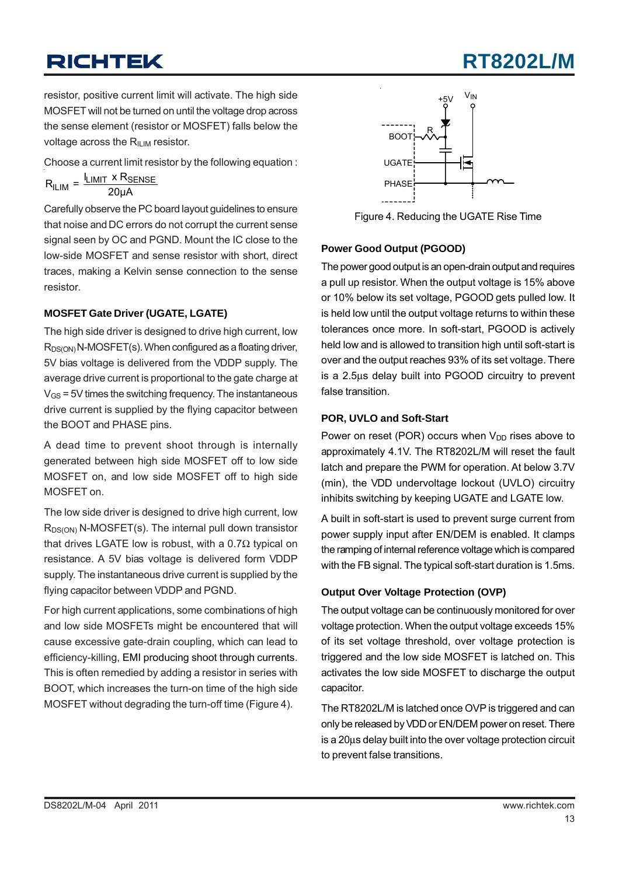resistor, positive current limit will activate. The high side MOSFET will not be turned on until the voltage drop across the sense element (resistor or MOSFET) falls below the voltage across the  $R_{ILIM}$  resistor.

Choose a current limit resistor by the following equation :

$$
R_{ILIM} = \frac{I_{LIMIT} \times R_{SENSE}}{20 \mu A}
$$

Carefully observe the PC board layout guidelines to ensure that noise and DC errors do not corrupt the current sense signal seen by OC and PGND. Mount the IC close to the low-side MOSFET and sense resistor with short, direct traces, making a Kelvin sense connection to the sense resistor.

### **MOSFET Gate Driver (UGATE, LGATE)**

The high side driver is designed to drive high current, low  $R_{DS(ON)}$  N-MOSFET(s). When configured as a floating driver, 5V bias voltage is delivered from the VDDP supply. The average drive current is proportional to the gate charge at  $V_{GS}$  = 5V times the switching frequency. The instantaneous drive current is supplied by the flying capacitor between the BOOT and PHASE pins.

A dead time to prevent shoot through is internally generated between high side MOSFET off to low side MOSFET on, and low side MOSFET off to high side MOSFET on.

The low side driver is designed to drive high current, low  $R_{DS(ON)}$  N-MOSFET(s). The internal pull down transistor that drives LGATE low is robust, with a 0.7 $Ω$  typical on resistance. A 5V bias voltage is delivered form VDDP supply. The instantaneous drive current is supplied by the flying capacitor between VDDP and PGND.

For high current applications, some combinations of high and low side MOSFETs might be encountered that will cause excessive gate-drain coupling, which can lead to efficiency-killing, EMI producing shoot through currents. This is often remedied by adding a resistor in series with BOOT, which increases the turn-on time of the high side MOSFET without degrading the turn-off time (Figure 4).



Figure 4. Reducing the UGATE Rise Time

## **Power Good Output (PGOOD)**

The power good output is an open-drain output and requires a pull up resistor. When the output voltage is 15% above or 10% below its set voltage, PGOOD gets pulled low. It is held low until the output voltage returns to within these tolerances once more. In soft-start, PGOOD is actively held low and is allowed to transition high until soft-start is over and the output reaches 93% of its set voltage. There is a 2.5μs delay built into PGOOD circuitry to prevent false transition.

## **POR, UVLO and Soft-Start**

Power on reset (POR) occurs when  $V_{DD}$  rises above to approximately 4.1V. The RT8202L/M will reset the fault latch and prepare the PWM for operation. At below 3.7V (min), the VDD undervoltage lockout (UVLO) circuitry inhibits switching by keeping UGATE and LGATE low.

A built in soft-start is used to prevent surge current from power supply input after EN/DEM is enabled. It clamps the ramping of internal reference voltage which is compared with the FB signal. The typical soft-start duration is 1.5ms.

### **Output Over Voltage Protection (OVP)**

The output voltage can be continuously monitored for over voltage protection. When the output voltage exceeds 15% of its set voltage threshold, over voltage protection is triggered and the low side MOSFET is latched on. This activates the low side MOSFET to discharge the output capacitor.

The RT8202L/M is latched once OVP is triggered and can only be released by VDD or EN/DEM power on reset. There is a 20μs delay built into the over voltage protection circuit to prevent false transitions.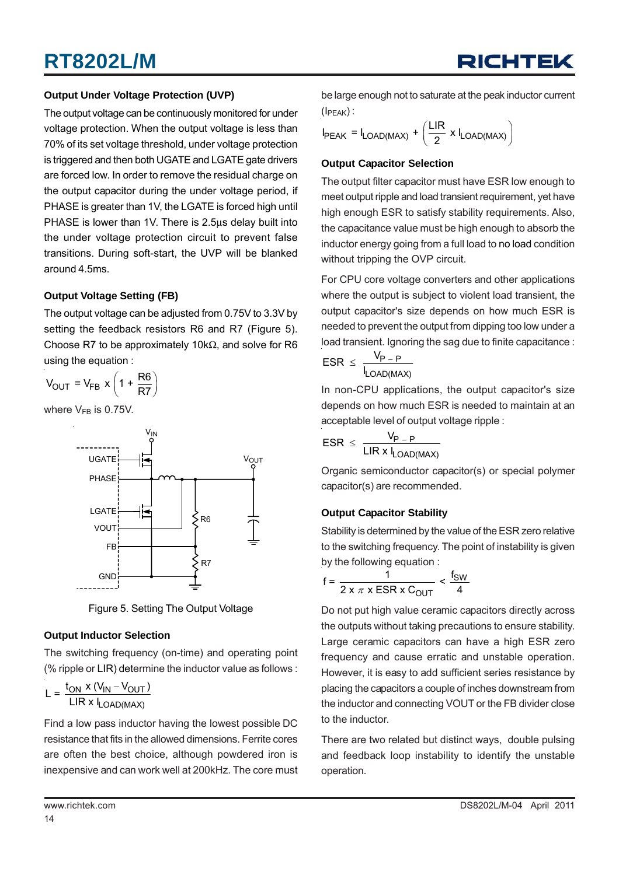### **Output Under Voltage Protection (UVP)**

The output voltage can be continuously monitored for under voltage protection. When the output voltage is less than 70% of its set voltage threshold, under voltage protection is triggered and then both UGATE and LGATE gate drivers are forced low. In order to remove the residual charge on the output capacitor during the under voltage period, if PHASE is greater than 1V, the LGATE is forced high until PHASE is lower than 1V. There is 2.5μs delay built into the under voltage protection circuit to prevent false transitions. During soft-start, the UVP will be blanked around 4.5ms.

### **Output Voltage Setting (FB)**

The output voltage can be adjusted from 0.75V to 3.3V by setting the feedback resistors R6 and R7 (Figure 5). Choose R7 to be approximately 10kΩ, and solve for R6 using the equation :

$$
V_{\text{OUT}} = V_{\text{FB}} \times \left(1 + \frac{\text{R6}}{\text{R7}}\right)
$$

where  $V_{FB}$  is 0.75V.



Figure 5. Setting The Output Voltage

### **Output Inductor Selection**

The switching frequency (on-time) and operating point (% ripple or LIR) determine the inductor value as follows :

$$
L = \frac{t_{ON} \times (V_{IN} - V_{OUT})}{LIR \times I_{LOAD(MAX)}}
$$

Find a low pass inductor having the lowest possible DC resistance that fits in the allowed dimensions. Ferrite cores are often the best choice, although powdered iron is inexpensive and can work well at 200kHz. The core must



be large enough not to saturate at the peak inductor current  $(I<sub>PEAK</sub>)$ :

$$
I_{\text{PEAK}} = I_{\text{LOAD(MAX)}} + \left(\frac{\text{LIR}}{2} \times I_{\text{LOAD(MAX)}}\right)
$$

#### **Output Capacitor Selection**

The output filter capacitor must have ESR low enough to meet output ripple and load transient requirement, yet have high enough ESR to satisfy stability requirements. Also, the capacitance value must be high enough to absorb the inductor energy going from a full load to no load condition without tripping the OVP circuit.

For CPU core voltage converters and other applications where the output is subject to violent load transient, the output capacitor's size depends on how much ESR is needed to prevent the output from dipping too low under a load transient. Ignoring the sag due to finite capacitance :

$$
ESR \leq \frac{V_{P-P}}{I_{LOAD(MAX)}}
$$

In non-CPU applications, the output capacitor's size depends on how much ESR is needed to maintain at an acceptable level of output voltage ripple :

$$
ESR \leq \frac{V_{P-P}}{LIR \times I_{LOAD(MAX)}}
$$

Organic semiconductor capacitor(s) or special polymer capacitor(s) are recommended.

### **Output Capacitor Stability**

Stability is determined by the value of the ESR zero relative to the switching frequency. The point of instability is given by the following equation :

$$
f = \frac{1}{2 \times \pi \times \text{ESR} \times C_{\text{OUT}}} < \frac{f_{\text{SW}}}{4}
$$

Do not put high value ceramic capacitors directly across the outputs without taking precautions to ensure stability. Large ceramic capacitors can have a high ESR zero frequency and cause erratic and unstable operation. However, it is easy to add sufficient series resistance by placing the capacitors a couple of inches downstream from the inductor and connecting VOUT or the FB divider close to the inductor.

There are two related but distinct ways, double pulsing and feedback loop instability to identify the unstable operation.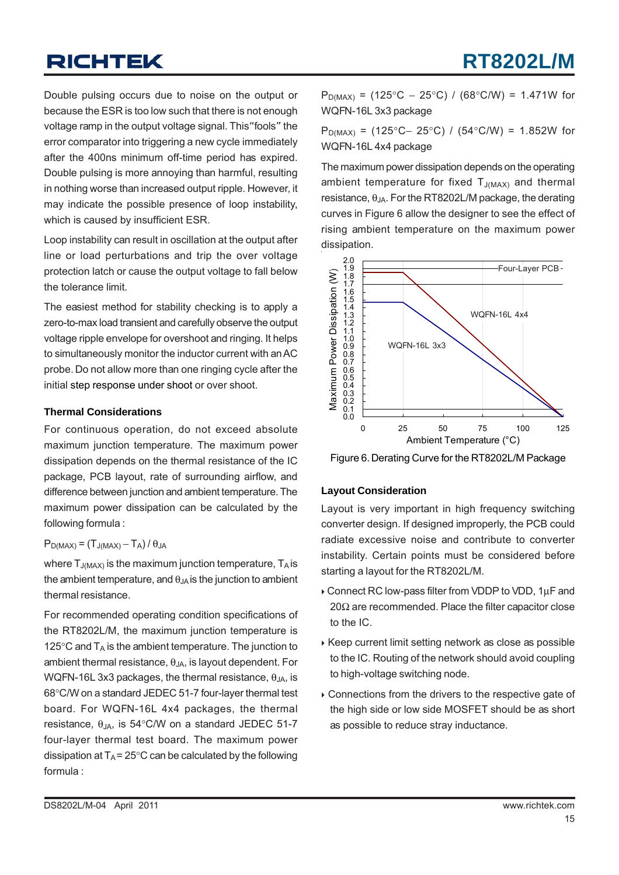Double pulsing occurs due to noise on the output or because the ESR is too low such that there is not enough voltage ramp in the output voltage signal. This"fools" the error comparator into triggering a new cycle immediately after the 400ns minimum off-time period has expired. Double pulsing is more annoying than harmful, resulting in nothing worse than increased output ripple. However, it may indicate the possible presence of loop instability, which is caused by insufficient ESR.

Loop instability can result in oscillation at the output after line or load perturbations and trip the over voltage protection latch or cause the output voltage to fall below the tolerance limit.

The easiest method for stability checking is to apply a zero-to-max load transient and carefully observe the output voltage ripple envelope for overshoot and ringing. It helps to simultaneously monitor the inductor current with an AC probe. Do not allow more than one ringing cycle after the initial step response under shoot or over shoot.

#### **Thermal Considerations**

For continuous operation, do not exceed absolute maximum junction temperature. The maximum power dissipation depends on the thermal resistance of the IC package, PCB layout, rate of surrounding airflow, and difference between junction and ambient temperature. The maximum power dissipation can be calculated by the following formula :

### $P_{D(MAX)} = (T_{J(MAX)} - T_A) / \theta_{JA}$

where  $T_{J(MAX)}$  is the maximum junction temperature,  $T_A$  is the ambient temperature, and  $\theta_{JA}$  is the junction to ambient thermal resistance.

For recommended operating condition specifications of the RT8202L/M, the maximum junction temperature is 125 $\degree$ C and  $T_A$  is the ambient temperature. The junction to ambient thermal resistance,  $\theta_{JA}$ , is layout dependent. For WQFN-16L 3x3 packages, the thermal resistance,  $\theta_{\text{JA}}$ , is 68°C/W on a standard JEDEC 51-7 four-layer thermal test board. For WQFN-16L 4x4 packages, the thermal resistance,  $θ_{JA}$ , is 54°C/W on a standard JEDEC 51-7 four-layer thermal test board. The maximum power dissipation at  $T_A$  = 25°C can be calculated by the following formula :

 $P_{D(MAX)}$  = (125°C – 25°C) / (68°C/W) = 1.471W for WQFN-16L 3x3 package

P<sub>D(MAX)</sub> = (125°C– 25°C) / (54°C/W) = 1.852W for WQFN-16L 4x4 package

The maximum power dissipation depends on the operating ambient temperature for fixed  $T_{J(MAX)}$  and thermal resistance,  $\theta_{JA}$ . For the RT8202L/M package, the derating curves in Figure 6 allow the designer to see the effect of rising ambient temperature on the maximum power dissipation.



Figure 6. Derating Curve for the RT8202L/M Package

### **Layout Consideration**

Layout is very important in high frequency switching converter design. If designed improperly, the PCB could radiate excessive noise and contribute to converter instability. Certain points must be considered before starting a layout for the RT8202L/M.

- ` Connect RC low-pass filter from VDDP to VDD, 1μF and 20Ω are recommended. Place the filter capacitor close to the IC.
- ▶ Keep current limit setting network as close as possible to the IC. Routing of the network should avoid coupling to high-voltage switching node.
- $\triangleright$  Connections from the drivers to the respective gate of the high side or low side MOSFET should be as short as possible to reduce stray inductance.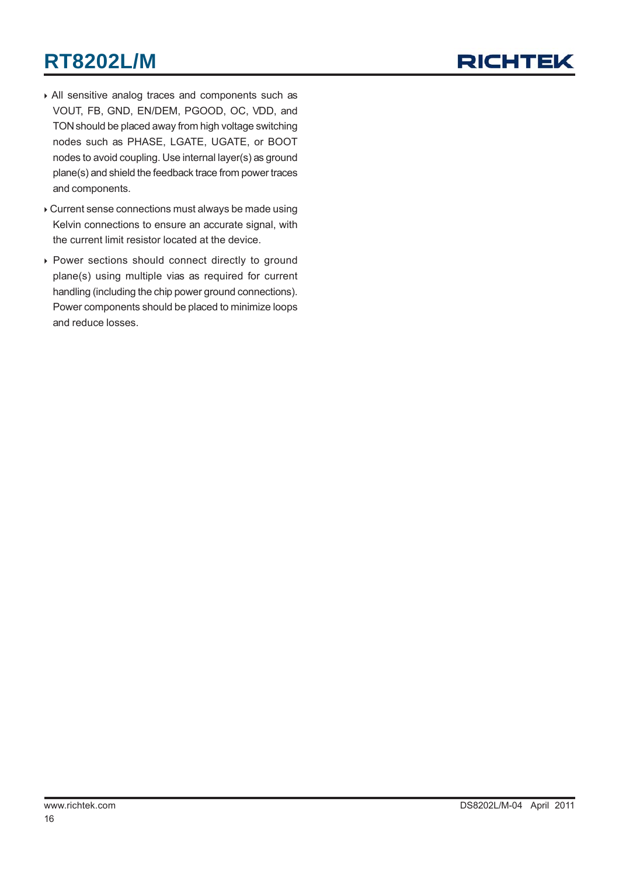# **RT8202L/M**



- ` All sensitive analog traces and components such as VOUT, FB, GND, EN/DEM, PGOOD, OC, VDD, and TON should be placed away from high voltage switching nodes such as PHASE, LGATE, UGATE, or BOOT nodes to avoid coupling. Use internal layer(s) as ground plane(s) and shield the feedback trace from power traces and components.
- ` Current sense connections must always be made using Kelvin connections to ensure an accurate signal, with the current limit resistor located at the device.
- ▶ Power sections should connect directly to ground plane(s) using multiple vias as required for current handling (including the chip power ground connections). Power components should be placed to minimize loops and reduce losses.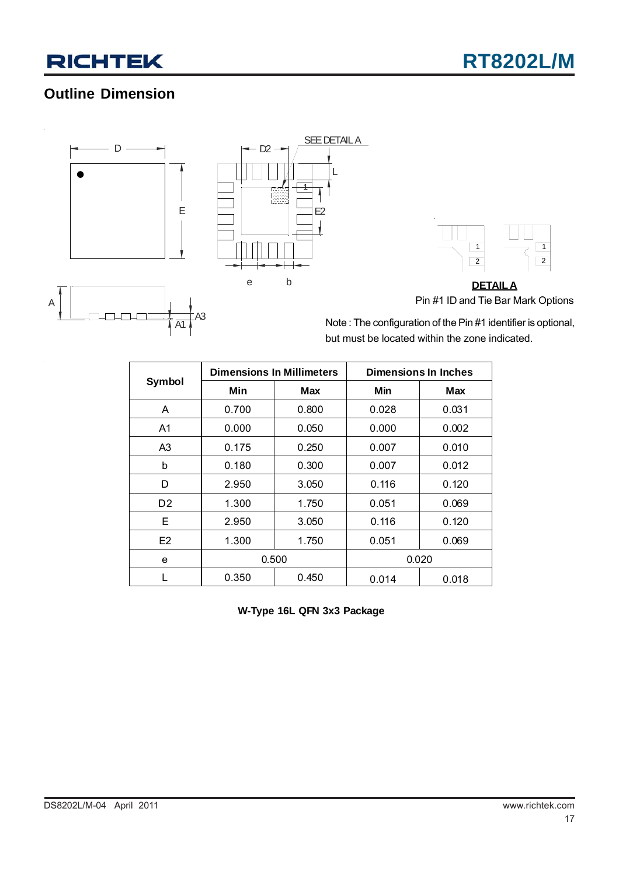# **Outline Dimension**



 $\Box$  $\Box$ 

A1

 $A3$ 

A





**DETAILA** Pin #1 ID and Tie Bar Mark Options

Note : The configuration of the Pin #1 identifier is optional, but must be located within the zone indicated.

|                |       | <b>Dimensions In Millimeters</b> | <b>Dimensions In Inches</b> |       |  |
|----------------|-------|----------------------------------|-----------------------------|-------|--|
| Symbol         | Min   | <b>Max</b>                       | Min                         | Max   |  |
| A              | 0.700 | 0.800                            | 0.028                       | 0.031 |  |
| A <sub>1</sub> | 0.000 | 0.050                            | 0.000                       | 0.002 |  |
| A3             | 0.175 | 0.250                            | 0.007                       | 0.010 |  |
| b              | 0.180 | 0.300                            | 0.007                       | 0.012 |  |
| D              | 2.950 | 3.050                            | 0.116                       | 0.120 |  |
| D <sub>2</sub> | 1.300 | 1.750                            | 0.051                       | 0.069 |  |
| Е              | 2.950 | 3.050                            | 0.116                       | 0.120 |  |
| E <sub>2</sub> | 1.300 | 1.750                            | 0.051                       | 0.069 |  |
| e              | 0.500 |                                  |                             | 0.020 |  |
|                | 0.350 | 0.450                            | 0.014                       | 0.018 |  |

**W-Type 16L QFN 3x3 Package**